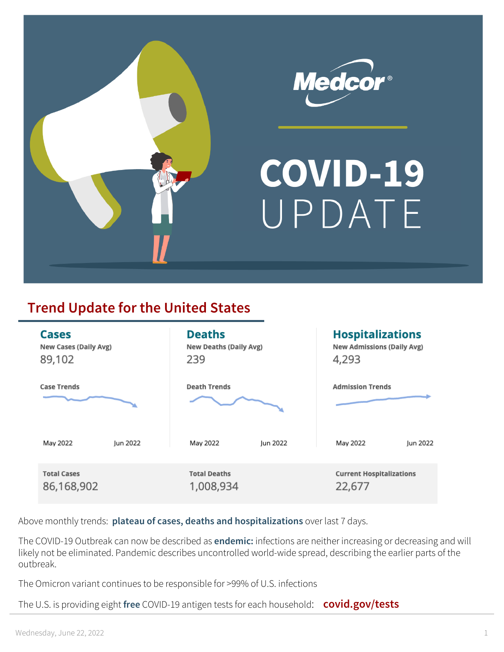

# COVID-19 UPDATE

## **Trend Update for the United States**

| <b>Cases</b>          |          | <b>Deaths</b>                 |          | <b>Hospitalizations</b>           |          |
|-----------------------|----------|-------------------------------|----------|-----------------------------------|----------|
| New Cases (Daily Avg) |          | <b>New Deaths (Daily Avg)</b> |          | <b>New Admissions (Daily Avg)</b> |          |
| 89,102                |          | 239                           |          | 4,293                             |          |
| <b>Case Trends</b>    |          | <b>Death Trends</b>           |          | <b>Admission Trends</b>           |          |
| May 2022              | lun 2022 | May 2022                      | lun 2022 | May 2022                          | Jun 2022 |
| <b>Total Cases</b>    |          | <b>Total Deaths</b>           |          | <b>Current Hospitalizations</b>   |          |
| 86,168,902            |          | 1,008,934                     |          | 22,677                            |          |

Above monthly trends: **plateau of cases, deaths and hospitalizations** over last 7 days.

The COVID-19 Outbreak can now be described as **endemic:** infections are neither increasing or decreasing and will likely not be eliminated. Pandemic describes uncontrolled world-wide spread, describing the earlier parts of the outbreak.

The Omicron variant continues to be responsible for >99% of U.S. infections

The U.S. is providing eight **free** COVID-19 antigen tests for each household: **covid.gov/tests**